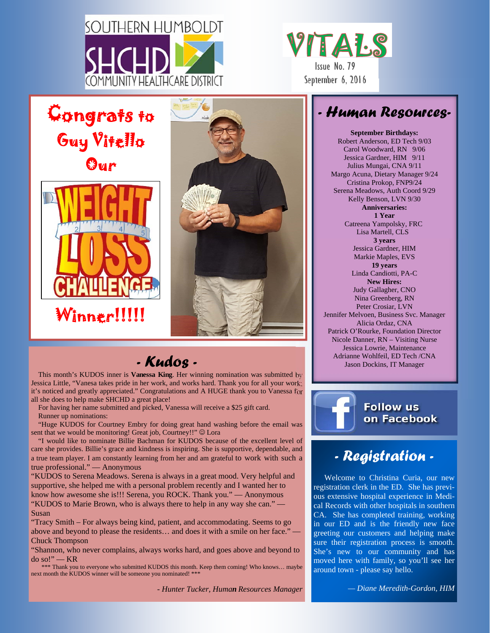

Congrats to

Guy Vitello

Our

Winner!!!!!



## *- Human Resources-*

**September Birthdays:**  Robert Anderson, ED Tech 9/03 Carol Woodward, RN 9/06 Jessica Gardner, HIM 9/11 Julius Mungai, CNA 9/11 Margo Acuna, Dietary Manager 9/24 Cristina Prokop, FNP9/24 Serena Meadows, Auth Coord 9/29 Kelly Benson, LVN 9/30 **Anniversaries: 1 Year**  Catreena Yampolsky, FRC Lisa Martell, CLS **3 years**  Jessica Gardner, HIM Markie Maples, EVS **19 years**  Linda Candiotti, PA-C **New Hires:**  Judy Gallagher, CNO Nina Greenberg, RN Peter Crosiar, LVN Jennifer Melvoen, Business Svc. Manager Alicia Ordaz, CNA Patrick O'Rourke, Foundation Director Nicole Danner, RN – Visiting Nurse Jessica Lowrie, Maintenance Adrianne Wohlfeil, ED Tech /CNA Jason Dockins, IT Manager



## *- Registration -*

Welcome to Christina Curia, our new registration clerk in the ED. She has previous extensive hospital experience in Medical Records with other hospitals in southern CA. She has completed training, working in our ED and is the friendly new face greeting our customers and helping make sure their registration process is smooth. She's new to our community and has moved here with family, so you'll see her around town - please say hello.

*- Kudos -* 

This month's KUDOS inner is **Vanessa King**. Her winning nomination was submitted by Jessica Little, "Vanesa takes pride in her work, and works hard. Thank you for all your work; it's noticed and greatly appreciated." Congratulations and A HUGE thank you to Vanessa for all she does to help make SHCHD a great place!

For having her name submitted and picked, Vanessa will receive a \$25 gift card. Runner up nominations:

"Huge KUDOS for Courtney Embry for doing great hand washing before the email was sent that we would be monitoring! Great job, Courtney!!" © Lora

"I would like to nominate Billie Bachman for KUDOS because of the excellent level of care she provides. Billie's grace and kindness is inspiring. She is supportive, dependable, and a true team player. I am constantly learning from her and am grateful to work with such a true professional." — Anonymous

"KUDOS to Serena Meadows. Serena is always in a great mood. Very helpful and supportive, she helped me with a personal problem recently and I wanted her to know how awesome she is!!! Serena, you ROCK. Thank you." — Anonymous "KUDOS to Marie Brown, who is always there to help in any way she can." — Susan

"Tracy Smith – For always being kind, patient, and accommodating. Seems to go above and beyond to please the residents… and does it with a smile on her face." — Chuck Thompson

"Shannon, who never complains, always works hard, and goes above and beyond to do so!" — KR

\*\*\* Thank you to everyone who submitted KUDOS this month. Keep them coming! Who knows… maybe next month the KUDOS winner will be someone you nominated! \*\*\*

*- Hunter Tucker, Human Resources Manager* 

*— Diane Meredith-Gordon, HIM*